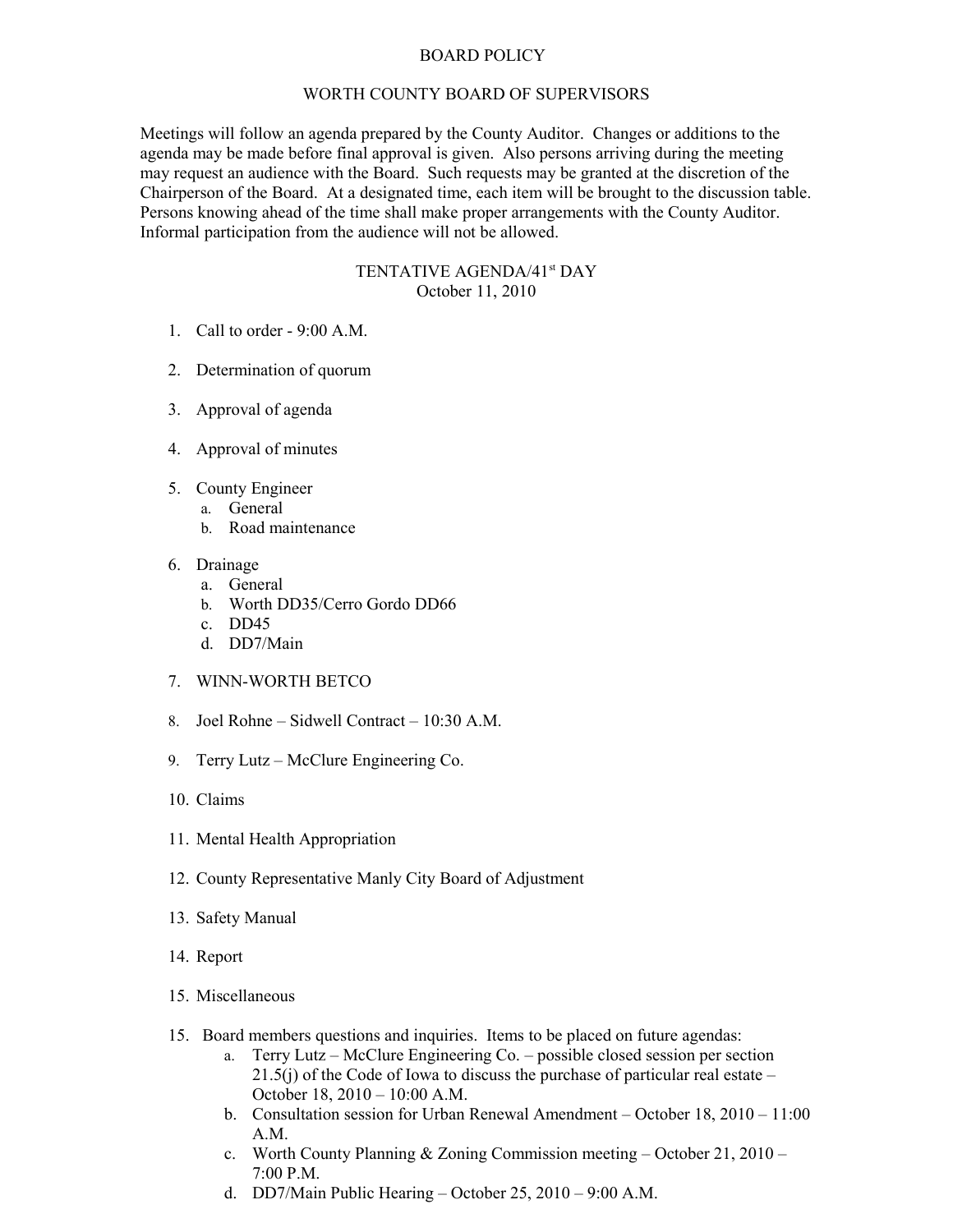## BOARD POLICY

## WORTH COUNTY BOARD OF SUPERVISORS

Meetings will follow an agenda prepared by the County Auditor. Changes or additions to the agenda may be made before final approval is given. Also persons arriving during the meeting may request an audience with the Board. Such requests may be granted at the discretion of the Chairperson of the Board. At a designated time, each item will be brought to the discussion table. Persons knowing ahead of the time shall make proper arrangements with the County Auditor. Informal participation from the audience will not be allowed.

## TENTATIVE AGENDA/41<sup>st</sup> DAY October 11, 2010

- 1. Call to order 9:00 A.M.
- 2. Determination of quorum
- 3. Approval of agenda
- 4. Approval of minutes
- 5. County Engineer
	- a. General
		- b. Road maintenance
- 6. Drainage
	- a. General
	- b. Worth DD35/Cerro Gordo DD66
	- c. DD45
	- d. DD7/Main
- 7. WINN-WORTH BETCO
- 8. Joel Rohne Sidwell Contract 10:30 A.M.
- 9. Terry Lutz McClure Engineering Co.
- 10. Claims
- 11. Mental Health Appropriation
- 12. County Representative Manly City Board of Adjustment
- 13. Safety Manual
- 14. Report
- 15. Miscellaneous
- 15. Board members questions and inquiries. Items to be placed on future agendas:
	- a. Terry Lutz McClure Engineering Co. possible closed session per section 21.5(j) of the Code of Iowa to discuss the purchase of particular real estate – October 18, 2010 – 10:00 A.M.
	- b. Consultation session for Urban Renewal Amendment October 18, 2010 11:00 A.M.
	- c. Worth County Planning & Zoning Commission meeting October 21, 2010 7:00 P.M.
	- d. DD7/Main Public Hearing October 25, 2010 9:00 A.M.